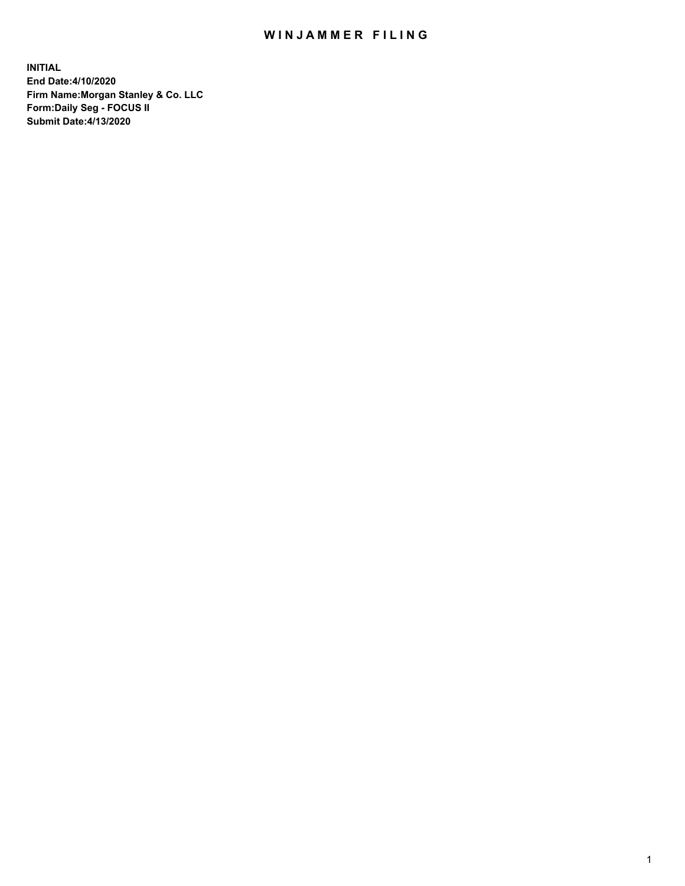## WIN JAMMER FILING

**INITIAL End Date:4/10/2020 Firm Name:Morgan Stanley & Co. LLC Form:Daily Seg - FOCUS II Submit Date:4/13/2020**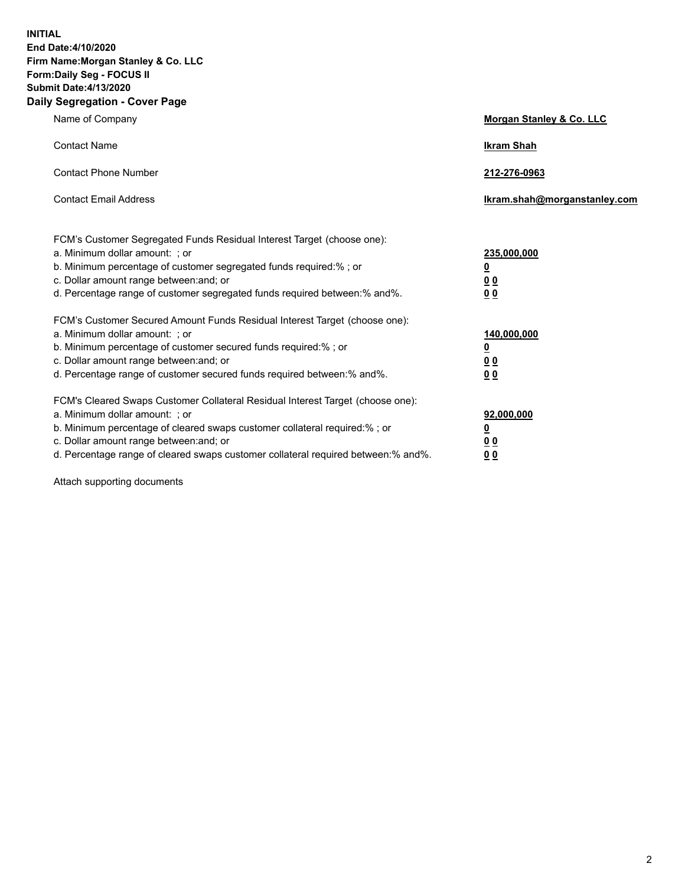**INITIAL End Date:4/10/2020 Firm Name:Morgan Stanley & Co. LLC Form:Daily Seg - FOCUS II Submit Date:4/13/2020 Daily Segregation - Cover Page**

| Name of Company                                                                                                                                                                                                                                                                                                                | Morgan Stanley & Co. LLC                               |
|--------------------------------------------------------------------------------------------------------------------------------------------------------------------------------------------------------------------------------------------------------------------------------------------------------------------------------|--------------------------------------------------------|
| <b>Contact Name</b>                                                                                                                                                                                                                                                                                                            | <b>Ikram Shah</b>                                      |
| <b>Contact Phone Number</b>                                                                                                                                                                                                                                                                                                    | 212-276-0963                                           |
| <b>Contact Email Address</b>                                                                                                                                                                                                                                                                                                   | Ikram.shah@morganstanley.com                           |
| FCM's Customer Segregated Funds Residual Interest Target (choose one):<br>a. Minimum dollar amount: ; or<br>b. Minimum percentage of customer segregated funds required:% ; or<br>c. Dollar amount range between: and; or<br>d. Percentage range of customer segregated funds required between: % and %.                       | 235,000,000<br><u>0</u><br>00<br>0 <sub>0</sub>        |
| FCM's Customer Secured Amount Funds Residual Interest Target (choose one):<br>a. Minimum dollar amount: ; or<br>b. Minimum percentage of customer secured funds required:% ; or<br>c. Dollar amount range between: and; or<br>d. Percentage range of customer secured funds required between:% and%.                           | 140,000,000<br><u>0</u><br><u>00</u><br>0 <sub>0</sub> |
| FCM's Cleared Swaps Customer Collateral Residual Interest Target (choose one):<br>a. Minimum dollar amount: ; or<br>b. Minimum percentage of cleared swaps customer collateral required:% ; or<br>c. Dollar amount range between: and; or<br>d. Percentage range of cleared swaps customer collateral required between:% and%. | 92,000,000<br><u>0</u><br><u>00</u><br>00              |

Attach supporting documents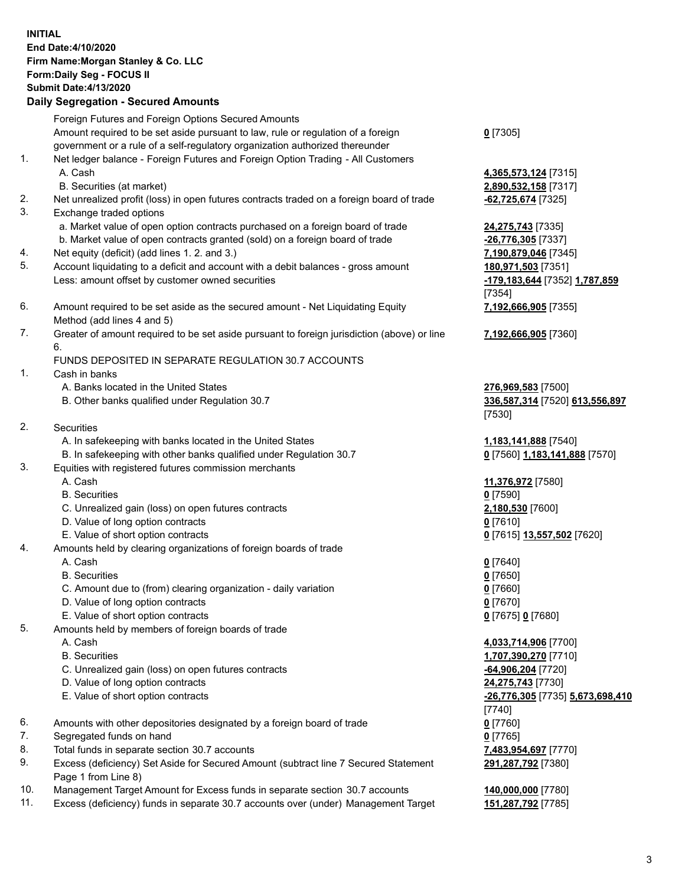## **INITIAL End Date:4/10/2020 Firm Name:Morgan Stanley & Co. LLC Form:Daily Seg - FOCUS II Submit Date:4/13/2020 Daily Segregation - Secured Amounts** Foreign Futures and Foreign Options Secured Amounts Amount required to be set aside pursuant to law, rule or regulation of a foreign government or a rule of a self-regulatory organization authorized thereunder **0** [7305] 1. Net ledger balance - Foreign Futures and Foreign Option Trading - All Customers A. Cash **4,365,573,124** [7315] B. Securities (at market) **2,890,532,158** [7317] 2. Net unrealized profit (loss) in open futures contracts traded on a foreign board of trade **-62,725,674** [7325] 3. Exchange traded options a. Market value of open option contracts purchased on a foreign board of trade **24,275,743** [7335] b. Market value of open contracts granted (sold) on a foreign board of trade **-26,776,305** [7337] 4. Net equity (deficit) (add lines 1. 2. and 3.) **7,190,879,046** [7345] 5. Account liquidating to a deficit and account with a debit balances - gross amount **180,971,503** [7351] Less: amount offset by customer owned securities **-179,183,644** [7352] **1,787,859** [7354] 6. Amount required to be set aside as the secured amount - Net Liquidating Equity Method (add lines 4 and 5) **7,192,666,905** [7355] 7. Greater of amount required to be set aside pursuant to foreign jurisdiction (above) or line 6. **7,192,666,905** [7360] FUNDS DEPOSITED IN SEPARATE REGULATION 30.7 ACCOUNTS 1. Cash in banks A. Banks located in the United States **276,969,583** [7500] B. Other banks qualified under Regulation 30.7 **336,587,314** [7520] **613,556,897** [7530] 2. Securities A. In safekeeping with banks located in the United States **1,183,141,888** [7540] B. In safekeeping with other banks qualified under Regulation 30.7 **0** [7560] **1,183,141,888** [7570] 3. Equities with registered futures commission merchants A. Cash **11,376,972** [7580] B. Securities **0** [7590] C. Unrealized gain (loss) on open futures contracts **2,180,530** [7600] D. Value of long option contracts **0** [7610] E. Value of short option contracts **0** [7615] **13,557,502** [7620] 4. Amounts held by clearing organizations of foreign boards of trade A. Cash **0** [7640] B. Securities **0** [7650] C. Amount due to (from) clearing organization - daily variation **0** [7660] D. Value of long option contracts **0** [7670] E. Value of short option contracts **0** [7675] **0** [7680] 5. Amounts held by members of foreign boards of trade A. Cash **4,033,714,906** [7700] B. Securities **1,707,390,270** [7710] C. Unrealized gain (loss) on open futures contracts **-64,906,204** [7720] D. Value of long option contracts **24,275,743** [7730] E. Value of short option contracts **-26,776,305** [7735] **5,673,698,410** [7740] 6. Amounts with other depositories designated by a foreign board of trade **0** [7760] 7. Segregated funds on hand **0** [7765] 8. Total funds in separate section 30.7 accounts **7,483,954,697** [7770] 9. Excess (deficiency) Set Aside for Secured Amount (subtract line 7 Secured Statement Page 1 from Line 8) **291,287,792** [7380]

- 10. Management Target Amount for Excess funds in separate section 30.7 accounts **140,000,000** [7780]
- 11. Excess (deficiency) funds in separate 30.7 accounts over (under) Management Target **151,287,792** [7785]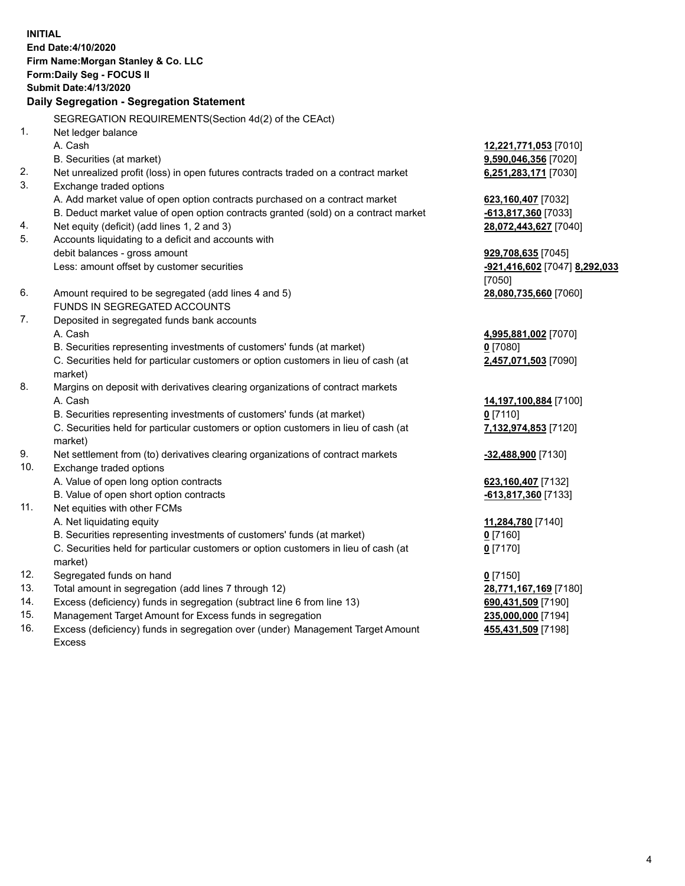**INITIAL End Date:4/10/2020 Firm Name:Morgan Stanley & Co. LLC Form:Daily Seg - FOCUS II Submit Date:4/13/2020 Daily Segregation - Segregation Statement** SEGREGATION REQUIREMENTS(Section 4d(2) of the CEAct) 1. Net ledger balance A. Cash **12,221,771,053** [7010] B. Securities (at market) **9,590,046,356** [7020] 2. Net unrealized profit (loss) in open futures contracts traded on a contract market **6,251,283,171** [7030] 3. Exchange traded options A. Add market value of open option contracts purchased on a contract market **623,160,407** [7032] B. Deduct market value of open option contracts granted (sold) on a contract market **-613,817,360** [7033] 4. Net equity (deficit) (add lines 1, 2 and 3) **28,072,443,627** [7040] 5. Accounts liquidating to a deficit and accounts with debit balances - gross amount **929,708,635** [7045] Less: amount offset by customer securities **-921,416,602** [7047] **8,292,033** [7050] 6. Amount required to be segregated (add lines 4 and 5) **28,080,735,660** [7060] FUNDS IN SEGREGATED ACCOUNTS 7. Deposited in segregated funds bank accounts A. Cash **4,995,881,002** [7070] B. Securities representing investments of customers' funds (at market) **0** [7080] C. Securities held for particular customers or option customers in lieu of cash (at market) **2,457,071,503** [7090] 8. Margins on deposit with derivatives clearing organizations of contract markets A. Cash **14,197,100,884** [7100] B. Securities representing investments of customers' funds (at market) **0** [7110] C. Securities held for particular customers or option customers in lieu of cash (at market) **7,132,974,853** [7120] 9. Net settlement from (to) derivatives clearing organizations of contract markets **-32,488,900** [7130] 10. Exchange traded options A. Value of open long option contracts **623,160,407** [7132] B. Value of open short option contracts **-613,817,360** [7133] 11. Net equities with other FCMs A. Net liquidating equity **11,284,780** [7140] B. Securities representing investments of customers' funds (at market) **0** [7160] C. Securities held for particular customers or option customers in lieu of cash (at market) **0** [7170] 12. Segregated funds on hand **0** [7150] 13. Total amount in segregation (add lines 7 through 12) **28,771,167,169** [7180] 14. Excess (deficiency) funds in segregation (subtract line 6 from line 13) **690,431,509** [7190] 15. Management Target Amount for Excess funds in segregation **235,000,000** [7194] 16. Excess (deficiency) funds in segregation over (under) Management Target Amount **455,431,509** [7198]

Excess